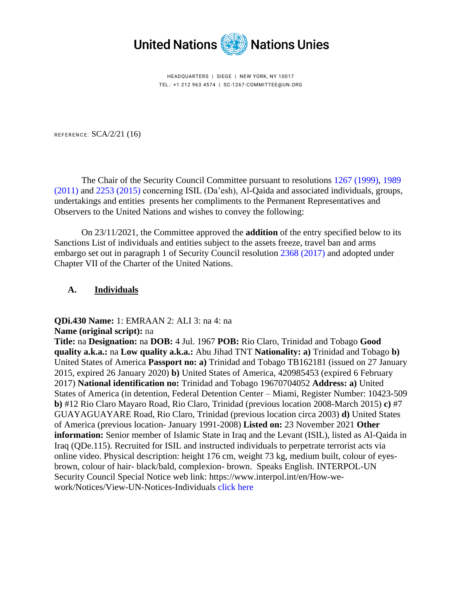

HEADQUARTERS | SIEGE | NEW YORK, NY 10017 TEL.: +1 212 963 4574 | SC-1267-COMMITTEE@UN.ORG

REFERENCE:  $SCA/2/21$  (16)

The Chair of the Security Council Committee pursuant to resolutions 1267 [\(1999\),](https://undocs.org/en/S/RES/1267(1999)) [1989](https://undocs.org/en/S/RES/1989(2011))  [\(2011\)](https://undocs.org/en/S/RES/1989(2011)) and [2253 \(2015\)](https://undocs.org/en/S/RES/2253(2015)) concerning ISIL (Da'esh), Al-Qaida and associated individuals, groups, undertakings and entities presents her compliments to the Permanent Representatives and Observers to the United Nations and wishes to convey the following:

On 23/11/2021, the Committee approved the **addition** of the entry specified below to its Sanctions List of individuals and entities subject to the assets freeze, travel ban and arms embargo set out in paragraph 1 of Security Council resolution [2368 \(2017\)](https://undocs.org/en/S/RES/2368(2017)) and adopted under Chapter VII of the Charter of the United Nations.

#### **A. Individuals**

**QDi.430 Name:** 1: EMRAAN 2: ALI 3: na 4: na

**Name (original script):** na

**Title:** na **Designation:** na **DOB:** 4 Jul. 1967 **POB:** Rio Claro, Trinidad and Tobago **Good quality a.k.a.:** na **Low quality a.k.a.:** Abu Jihad TNT **Nationality: a)** Trinidad and Tobago **b)** United States of America **Passport no: a)** Trinidad and Tobago TB162181 (issued on 27 January 2015, expired 26 January 2020) **b)** United States of America, 420985453 (expired 6 February 2017) **National identification no:** Trinidad and Tobago 19670704052 **Address: a)** United States of America (in detention, Federal Detention Center – Miami, Register Number: 10423-509 **b)** #12 Rio Claro Mayaro Road, Rio Claro, Trinidad (previous location 2008-March 2015) **c)** #7 GUAYAGUAYARE Road, Rio Claro, Trinidad (previous location circa 2003) **d)** United States of America (previous location- January 1991-2008) **Listed on:** 23 November 2021 **Other information:** Senior member of Islamic State in Iraq and the Levant (ISIL), listed as Al-Qaida in Iraq (QDe.115). Recruited for ISIL and instructed individuals to perpetrate terrorist acts via online video. Physical description: height 176 cm, weight 73 kg, medium built, colour of eyesbrown, colour of hair- black/bald, complexion- brown. Speaks English. INTERPOL-UN Security Council Special Notice web link: https://www.interpol.int/en/How-wework/Notices/View-UN-Notices-Individuals [click here](https://www.interpol.int/en/How-we-work/Notices/View-UN-Notices-Individuals)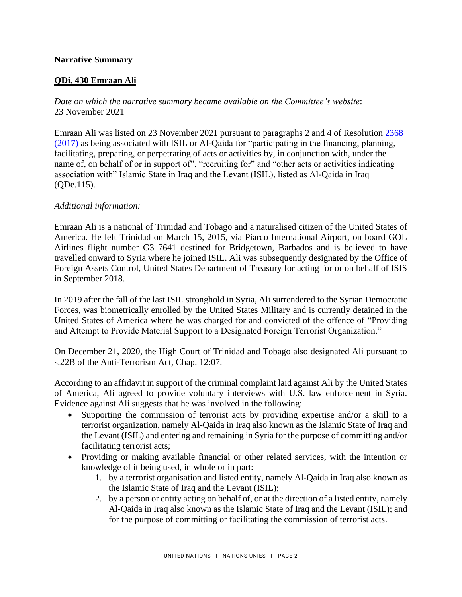## **Narrative Summary**

## **QDi. 430 Emraan Ali**

*Date on which the narrative summary became available on the Committee's website*: 23 November 2021

Emraan Ali was listed on 23 November 2021 pursuant to paragraphs 2 and 4 of Resolution [2368](https://undocs.org/en/S/RES/2368(2017))  [\(2017\)](https://undocs.org/en/S/RES/2368(2017)) as being associated with ISIL or Al-Qaida for "participating in the financing, planning, facilitating, preparing, or perpetrating of acts or activities by, in conjunction with, under the name of, on behalf of or in support of", "recruiting for" and "other acts or activities indicating association with" Islamic State in Iraq and the Levant (ISIL), listed as Al-Qaida in Iraq (QDe.115).

#### *Additional information:*

Emraan Ali is a national of Trinidad and Tobago and a naturalised citizen of the United States of America. He left Trinidad on March 15, 2015, via Piarco International Airport, on board GOL Airlines flight number G3 7641 destined for Bridgetown, Barbados and is believed to have travelled onward to Syria where he joined ISIL. Ali was subsequently designated by the Office of Foreign Assets Control, United States Department of Treasury for acting for or on behalf of ISIS in September 2018.

In 2019 after the fall of the last ISIL stronghold in Syria, Ali surrendered to the Syrian Democratic Forces, was biometrically enrolled by the United States Military and is currently detained in the United States of America where he was charged for and convicted of the offence of "Providing and Attempt to Provide Material Support to a Designated Foreign Terrorist Organization."

On December 21, 2020, the High Court of Trinidad and Tobago also designated Ali pursuant to s.22B of the Anti-Terrorism Act, Chap. 12:07.

According to an affidavit in support of the criminal complaint laid against Ali by the United States of America, Ali agreed to provide voluntary interviews with U.S. law enforcement in Syria. Evidence against Ali suggests that he was involved in the following:

- Supporting the commission of terrorist acts by providing expertise and/or a skill to a terrorist organization, namely Al-Qaida in Iraq also known as the Islamic State of Iraq and the Levant (ISIL) and entering and remaining in Syria for the purpose of committing and/or facilitating terrorist acts;
- Providing or making available financial or other related services, with the intention or knowledge of it being used, in whole or in part:
	- 1. by a terrorist organisation and listed entity, namely Al-Qaida in Iraq also known as the Islamic State of Iraq and the Levant (ISIL);
	- 2. by a person or entity acting on behalf of, or at the direction of a listed entity, namely Al-Qaida in Iraq also known as the Islamic State of Iraq and the Levant (ISIL); and for the purpose of committing or facilitating the commission of terrorist acts.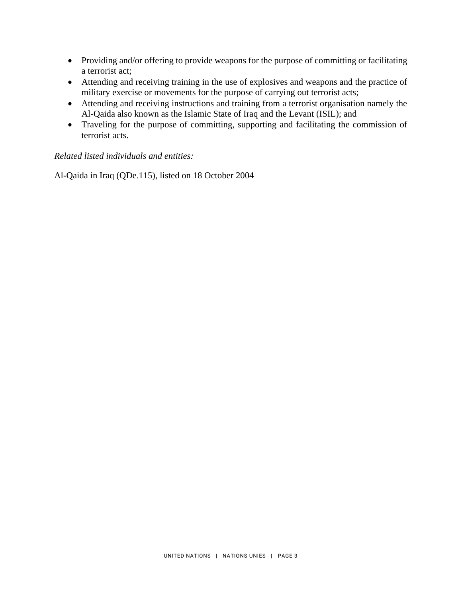- Providing and/or offering to provide weapons for the purpose of committing or facilitating a terrorist act;
- Attending and receiving training in the use of explosives and weapons and the practice of military exercise or movements for the purpose of carrying out terrorist acts;
- Attending and receiving instructions and training from a terrorist organisation namely the Al-Qaida also known as the Islamic State of Iraq and the Levant (ISIL); and
- Traveling for the purpose of committing, supporting and facilitating the commission of terrorist acts.

# *Related listed individuals and entities:*

Al-Qaida in Iraq (QDe.115), listed on 18 October 2004